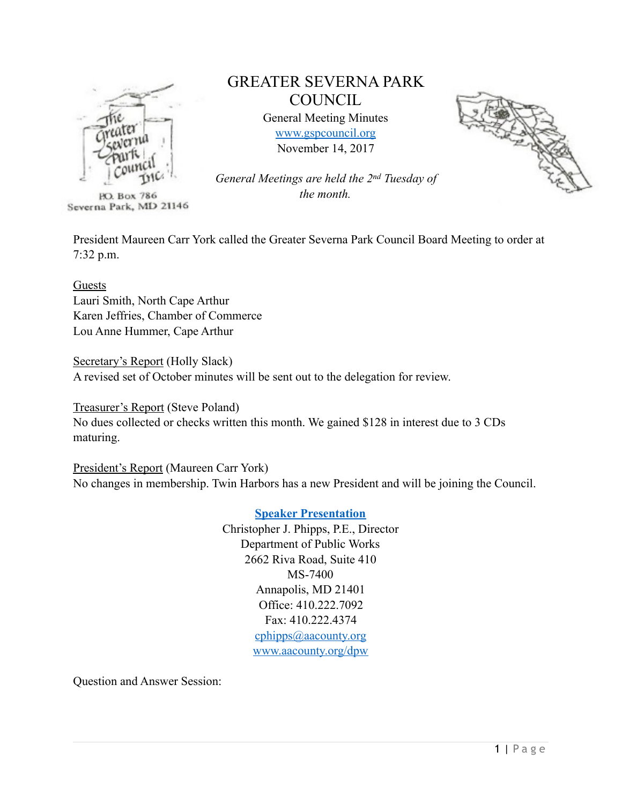

**PO. Box 786** Severna Park, MD 21146

# GREATER SEVERNA PARK **COUNCIL**

General Meeting Minutes [www.gspcouncil.org](http://www.gspcouncil.org) November 14, 2017



*General Meetings are held the 2nd Tuesday of the month.* 

President Maureen Carr York called the Greater Severna Park Council Board Meeting to order at 7:32 p.m.

Guests Lauri Smith, North Cape Arthur Karen Jeffries, Chamber of Commerce Lou Anne Hummer, Cape Arthur

Secretary's Report (Holly Slack) A revised set of October minutes will be sent out to the delegation for review.

Treasurer's Report (Steve Poland) No dues collected or checks written this month. We gained \$128 in interest due to 3 CDs maturing.

President's Report (Maureen Carr York) No changes in membership. Twin Harbors has a new President and will be joining the Council.

> **[Speaker Presentation](http://www.aacounty.org/departments/public-works/greater-severna-park-council-november-2017.pdf)** Christopher J. Phipps, P.E., Director Department of Public Works 2662 Riva Road, Suite 410 MS-7400 Annapolis, MD 21401 Office: 410.222.7092 Fax: 410.222.4374 [cphipps@aacounty.org](mailto:cphipps@aacounty.org) [www.aacounty.org/dpw](http://www.aacounty.org/dpw)

Question and Answer Session: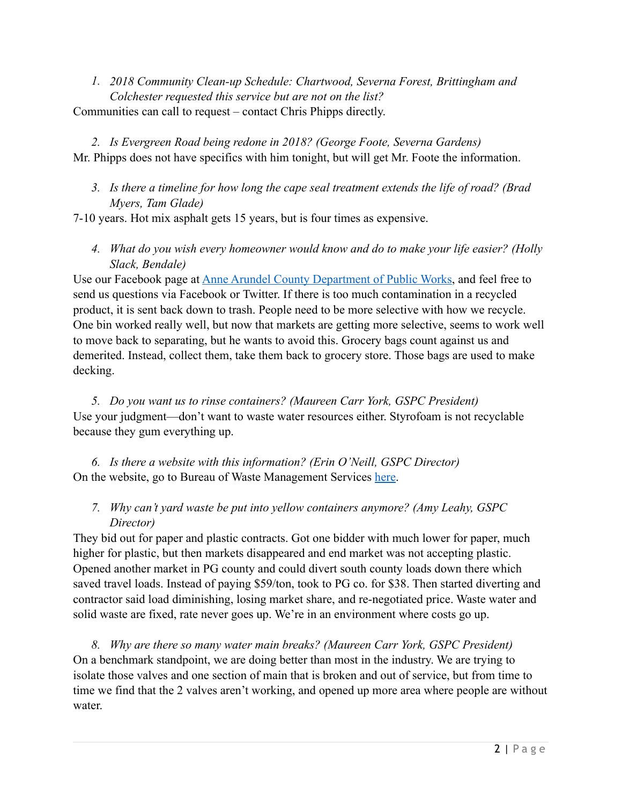*1. 2018 Community Clean-up Schedule: Chartwood, Severna Forest, Brittingham and Colchester requested this service but are not on the list?*  Communities can call to request – contact Chris Phipps directly.

*2. Is Evergreen Road being redone in 2018? (George Foote, Severna Gardens)*  Mr. Phipps does not have specifics with him tonight, but will get Mr. Foote the information.

## *3. Is there a timeline for how long the cape seal treatment extends the life of road? (Brad Myers, Tam Glade)*

7-10 years. Hot mix asphalt gets 15 years, but is four times as expensive.

*4. What do you wish every homeowner would know and do to make your life easier? (Holly Slack, Bendale)* 

Use our Facebook page at [Anne Arundel County Department of Public Works](https://www.facebook.com/annearundeldpw/), and feel free to send us questions via Facebook or Twitter. If there is too much contamination in a recycled product, it is sent back down to trash. People need to be more selective with how we recycle. One bin worked really well, but now that markets are getting more selective, seems to work well to move back to separating, but he wants to avoid this. Grocery bags count against us and demerited. Instead, collect them, take them back to grocery store. Those bags are used to make decking.

*5. Do you want us to rinse containers? (Maureen Carr York, GSPC President)*  Use your judgment—don't want to waste water resources either. Styrofoam is not recyclable because they gum everything up.

*6. Is there a website with this information? (Erin O'Neill, GSPC Director)*  On the website, go to Bureau of Waste Management Services [here.](http://www.aacounty.org/departments/public-works/waste-management/)

## *7. Why can't yard waste be put into yellow containers anymore? (Amy Leahy, GSPC Director)*

They bid out for paper and plastic contracts. Got one bidder with much lower for paper, much higher for plastic, but then markets disappeared and end market was not accepting plastic. Opened another market in PG county and could divert south county loads down there which saved travel loads. Instead of paying \$59/ton, took to PG co. for \$38. Then started diverting and contractor said load diminishing, losing market share, and re-negotiated price. Waste water and solid waste are fixed, rate never goes up. We're in an environment where costs go up.

*8. Why are there so many water main breaks? (Maureen Carr York, GSPC President)*  On a benchmark standpoint, we are doing better than most in the industry. We are trying to isolate those valves and one section of main that is broken and out of service, but from time to time we find that the 2 valves aren't working, and opened up more area where people are without water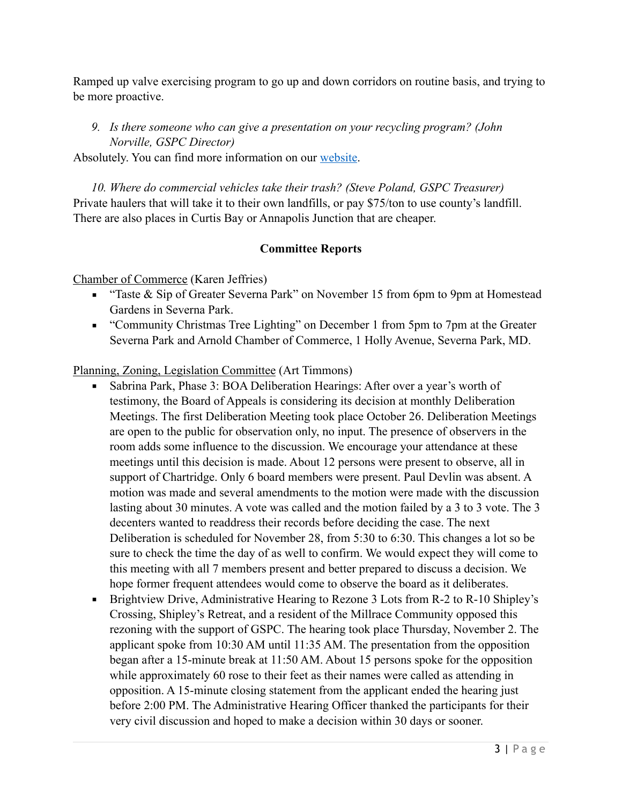Ramped up valve exercising program to go up and down corridors on routine basis, and trying to be more proactive.

# *9. Is there someone who can give a presentation on your recycling program? (John Norville, GSPC Director)*

Absolutely. You can find more information on our [website.](http://www.aacounty.org/departments/public-works/waste-management/recycling/)

*10. Where do commercial vehicles take their trash? (Steve Poland, GSPC Treasurer)*  Private haulers that will take it to their own landfills, or pay \$75/ton to use county's landfill. There are also places in Curtis Bay or Annapolis Junction that are cheaper.

## **Committee Reports**

Chamber of Commerce (Karen Jeffries)

- "Taste & Sip of Greater Severna Park" on November 15 from 6pm to 9pm at Homestead Gardens in Severna Park.
- "Community Christmas Tree Lighting" on December 1 from 5pm to 7pm at the Greater Severna Park and Arnold Chamber of Commerce, 1 Holly Avenue, Severna Park, MD.

Planning, Zoning, Legislation Committee (Art Timmons)

- Sabrina Park, Phase 3: BOA Deliberation Hearings: After over a year's worth of testimony, the Board of Appeals is considering its decision at monthly Deliberation Meetings. The first Deliberation Meeting took place October 26. Deliberation Meetings are open to the public for observation only, no input. The presence of observers in the room adds some influence to the discussion. We encourage your attendance at these meetings until this decision is made. About 12 persons were present to observe, all in support of Chartridge. Only 6 board members were present. Paul Devlin was absent. A motion was made and several amendments to the motion were made with the discussion lasting about 30 minutes. A vote was called and the motion failed by a 3 to 3 vote. The 3 decenters wanted to readdress their records before deciding the case. The next Deliberation is scheduled for November 28, from 5:30 to 6:30. This changes a lot so be sure to check the time the day of as well to confirm. We would expect they will come to this meeting with all 7 members present and better prepared to discuss a decision. We hope former frequent attendees would come to observe the board as it deliberates.
- Brightview Drive, Administrative Hearing to Rezone 3 Lots from R-2 to R-10 Shipley's Crossing, Shipley's Retreat, and a resident of the Millrace Community opposed this rezoning with the support of GSPC. The hearing took place Thursday, November 2. The applicant spoke from 10:30 AM until 11:35 AM. The presentation from the opposition began after a 15-minute break at 11:50 AM. About 15 persons spoke for the opposition while approximately 60 rose to their feet as their names were called as attending in opposition. A 15-minute closing statement from the applicant ended the hearing just before 2:00 PM. The Administrative Hearing Officer thanked the participants for their very civil discussion and hoped to make a decision within 30 days or sooner.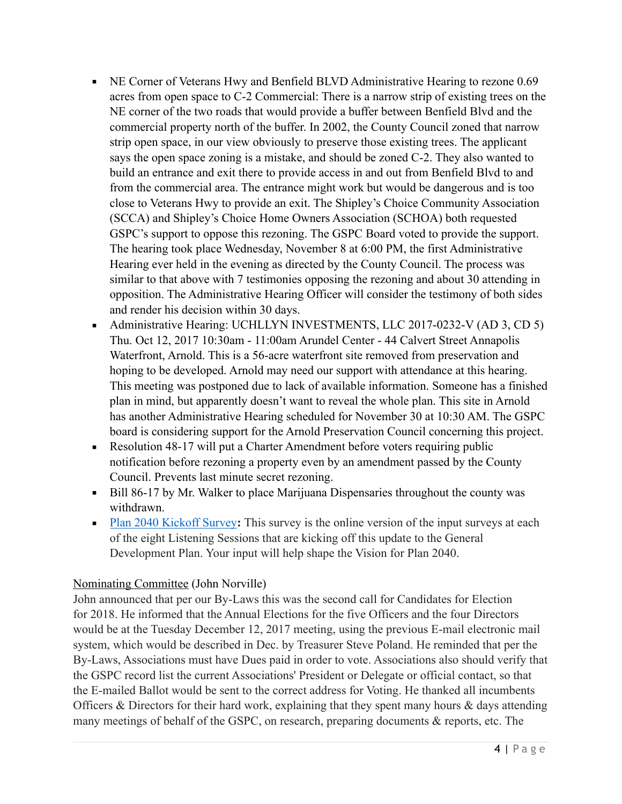- NE Corner of Veterans Hwy and Benfield BLVD Administrative Hearing to rezone 0.69 acres from open space to C-2 Commercial: There is a narrow strip of existing trees on the NE corner of the two roads that would provide a buffer between Benfield Blvd and the commercial property north of the buffer. In 2002, the County Council zoned that narrow strip open space, in our view obviously to preserve those existing trees. The applicant says the open space zoning is a mistake, and should be zoned C-2. They also wanted to build an entrance and exit there to provide access in and out from Benfield Blvd to and from the commercial area. The entrance might work but would be dangerous and is too close to Veterans Hwy to provide an exit. The Shipley's Choice Community Association (SCCA) and Shipley's Choice Home Owners Association (SCHOA) both requested GSPC's support to oppose this rezoning. The GSPC Board voted to provide the support. The hearing took place Wednesday, November 8 at 6:00 PM, the first Administrative Hearing ever held in the evening as directed by the County Council. The process was similar to that above with 7 testimonies opposing the rezoning and about 30 attending in opposition. The Administrative Hearing Officer will consider the testimony of both sides and render his decision within 30 days.
- Administrative Hearing: UCHLLYN INVESTMENTS, LLC 2017-0232-V (AD 3, CD 5) Thu. Oct 12, 2017 10:30am - 11:00am Arundel Center - 44 Calvert Street Annapolis Waterfront, Arnold. This is a 56-acre waterfront site removed from preservation and hoping to be developed. Arnold may need our support with attendance at this hearing. This meeting was postponed due to lack of available information. Someone has a finished plan in mind, but apparently doesn't want to reveal the whole plan. This site in Arnold has another Administrative Hearing scheduled for November 30 at 10:30 AM. The GSPC board is considering support for the Arnold Preservation Council concerning this project.
- Resolution 48-17 will put a Charter Amendment before voters requiring public notification before rezoning a property even by an amendment passed by the County Council. Prevents last minute secret rezoning.
- Bill 86-17 by Mr. Walker to place Marijuana Dispensaries throughout the county was withdrawn.
- **[Plan 2040 Kickoff Survey](https://docs.google.com/forms/d/e/1FAIpQLSensFBDRHQVQgKC3jJvxSx7hQtINNh1AW5I1aKLKaFQizEZFg/viewform):** This survey is the online version of the input surveys at each of the eight Listening Sessions that are kicking off this update to the General Development Plan. Your input will help shape the Vision for Plan 2040.

## Nominating Committee (John Norville)

John announced that per our By-Laws this was the second call for Candidates for Election for 2018. He informed that the Annual Elections for the five Officers and the four Directors would be at the Tuesday December 12, 2017 meeting, using the previous E-mail electronic mail system, which would be described in Dec. by Treasurer Steve Poland. He reminded that per the By-Laws, Associations must have Dues paid in order to vote. Associations also should verify that the GSPC record list the current Associations' President or Delegate or official contact, so that the E-mailed Ballot would be sent to the correct address for Voting. He thanked all incumbents Officers & Directors for their hard work, explaining that they spent many hours & days attending many meetings of behalf of the GSPC, on research, preparing documents & reports, etc. The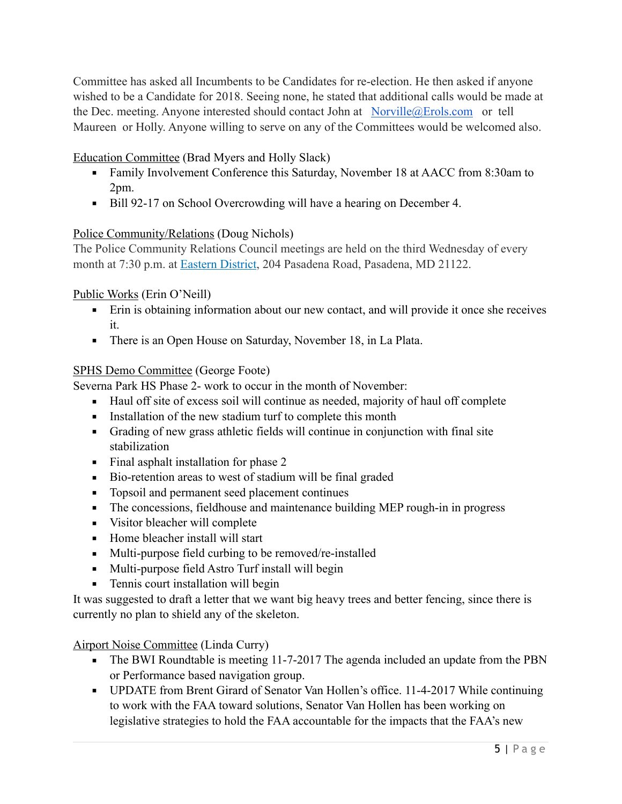Committee has asked all Incumbents to be Candidates for re-election. He then asked if anyone wished to be a Candidate for 2018. Seeing none, he stated that additional calls would be made at the Dec. meeting. Anyone interested should contact John at [Norville@Erols.com](mailto:Norville@Erols.com) or tell Maureen or Holly. Anyone willing to serve on any of the Committees would be welcomed also.

Education Committee (Brad Myers and Holly Slack)

- Family Involvement Conference this Saturday, November 18 at AACC from 8:30am to 2pm.
- Bill 92-17 on School Overcrowding will have a hearing on December 4.

## Police Community/Relations (Doug Nichols)

The Police Community Relations Council meetings are held on the third Wednesday of every month at 7:30 p.m. at [Eastern District,](http://www.aacounty.org/locations-and-directions/police-eastern-district) 204 Pasadena Road, Pasadena, MD 21122.

# Public Works (Erin O'Neill)

- Erin is obtaining information about our new contact, and will provide it once she receives it.
- There is an Open House on Saturday, November 18, in La Plata.

# SPHS Demo Committee (George Foote)

Severna Park HS Phase 2- work to occur in the month of November:

- Haul off site of excess soil will continue as needed, majority of haul off complete
- **Exercise 1** Installation of the new stadium turf to complete this month
- Grading of new grass athletic fields will continue in conjunction with final site stabilization
- Final asphalt installation for phase 2
- Bio-retention areas to west of stadium will be final graded
- Topsoil and permanent seed placement continues
- **•** The concessions, fieldhouse and maintenance building MEP rough-in in progress
- Visitor bleacher will complete
- Home bleacher install will start
- Multi-purpose field curbing to be removed/re-installed
- Multi-purpose field Astro Turf install will begin
- **•** Tennis court installation will begin

It was suggested to draft a letter that we want big heavy trees and better fencing, since there is currently no plan to shield any of the skeleton.

Airport Noise Committee (Linda Curry)

- The BWI Roundtable is meeting 11-7-2017 The agenda included an update from the PBN or Performance based navigation group.
- UPDATE from Brent Girard of Senator Van Hollen's office. 11-4-2017 While continuing to work with the FAA toward solutions, Senator Van Hollen has been working on legislative strategies to hold the FAA accountable for the impacts that the FAA's new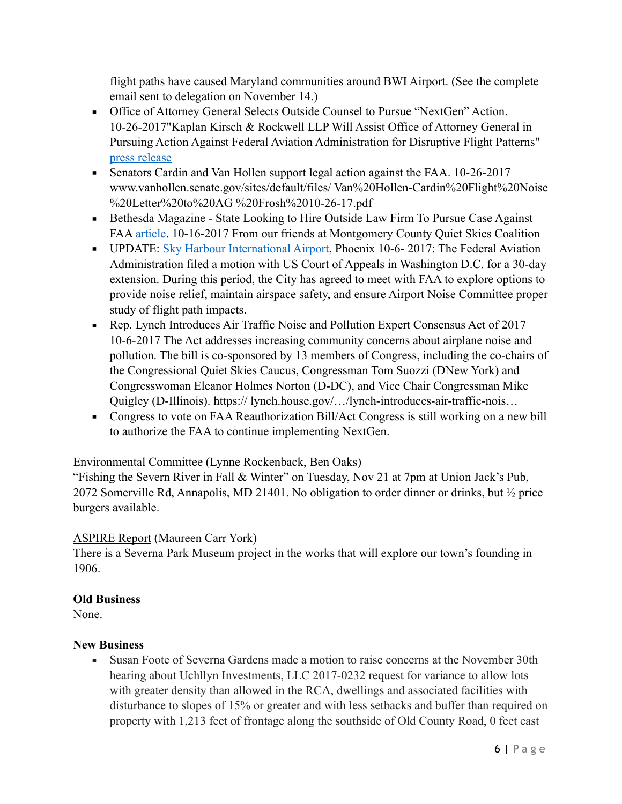flight paths have caused Maryland communities around BWI Airport. (See the complete email sent to delegation on November 14.)

- Office of Attorney General Selects Outside Counsel to Pursue "NextGen" Action. 10-26-2017"Kaplan Kirsch & Rockwell LLP Will Assist Office of Attorney General in Pursuing Action Against Federal Aviation Administration for Disruptive Flight Patterns" [press release](http://www.marylandattorneygeneral.gov/press/2017/103117a.pdf)
- Senators Cardin and Van Hollen support legal action against the FAA. 10-26-2017 www.vanhollen.senate.gov/sites/default/files/ Van%20Hollen-Cardin%20Flight%20Noise %20Letter%20to%20AG %20Frosh%2010-26-17.pdf
- **Example 3** Bethesda Magazine State Looking to Hire Outside Law Firm To Pursue Case Against FAA [article](http://www.bethesdamagazine.com/Bethesda-Beat/2017/State-Looking-to-Hire-Outside-Law-Firm-To-Pursue-Case-Against-FAA-Over-Airplane-Noise/). 10-16-2017 From our friends at Montgomery County Quiet Skies Coalition
- **UPDATE: [Sky Harbour International Airport,](https://www.skyharbor.com/FlightPaths) Phoenix 10-6-2017: The Federal Aviation** Administration filed a motion with US Court of Appeals in Washington D.C. for a 30-day extension. During this period, the City has agreed to meet with FAA to explore options to provide noise relief, maintain airspace safety, and ensure Airport Noise Committee proper study of flight path impacts.
- Rep. Lynch Introduces Air Traffic Noise and Pollution Expert Consensus Act of 2017 10-6-2017 The Act addresses increasing community concerns about airplane noise and pollution. The bill is co-sponsored by 13 members of Congress, including the co-chairs of the Congressional Quiet Skies Caucus, Congressman Tom Suozzi (DNew York) and Congresswoman Eleanor Holmes Norton (D-DC), and Vice Chair Congressman Mike Quigley (D-Illinois). https:// lynch.house.gov/…/lynch-introduces-air-traffic-nois…
- Congress to vote on FAA Reauthorization Bill/Act Congress is still working on a new bill to authorize the FAA to continue implementing NextGen.

#### Environmental Committee (Lynne Rockenback, Ben Oaks)

"Fishing the Severn River in Fall & Winter" on Tuesday, Nov 21 at 7pm at Union Jack's Pub, 2072 Somerville Rd, Annapolis, MD 21401. No obligation to order dinner or drinks, but ½ price burgers available.

#### ASPIRE Report (Maureen Carr York)

There is a Severna Park Museum project in the works that will explore our town's founding in 1906.

#### **Old Business**

None.

#### **New Business**

**Example 30** Susan Foote of Severna Gardens made a motion to raise concerns at the November 30th hearing about Uchllyn Investments, LLC 2017-0232 request for variance to allow lots with greater density than allowed in the RCA, dwellings and associated facilities with disturbance to slopes of 15% or greater and with less setbacks and buffer than required on property with 1,213 feet of frontage along the southside of Old County Road, 0 feet east